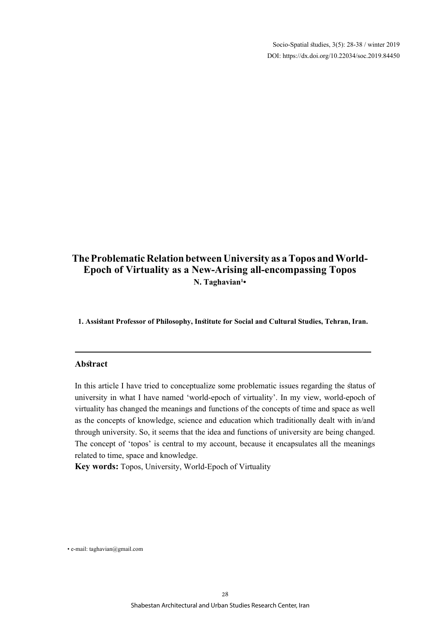Socio-Spatial studies, 3(5): 28-38 / winter 2019 DOI: https://dx.doi.org/10.22034/soc.2019.84450

# **The Problematic Relation between University as a Topos and World-Epoch of Virtuality as a New-Arising all-encompassing Topos N. Taghavian<sup>1</sup> •**

**1. Assistant Professor of Philosophy, Institute for Social and Cultural Studies, Tehran, Iran.** 

### **Abstract**

In this article I have tried to conceptualize some problematic issues regarding the status of university in what I have named 'world-epoch of virtuality'. In my view, world-epoch of virtuality has changed the meanings and functions of the concepts of time and space as well as the concepts of knowledge, science and education which traditionally dealt with in/and through university. So, it seems that the idea and functions of university are being changed. The concept of 'topos' is central to my account, because it encapsulates all the meanings related to time, space and knowledge.

**Key words:** Topos, University, World-Epoch of Virtuality

• e-mail: taghavian@gmail.com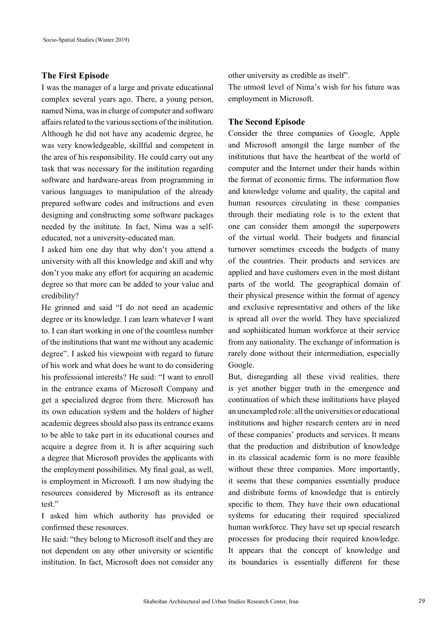#### **The First Episode**

I was the manager of a large and private educational complex several years ago. There, a young person, named Nima, was in charge of computer and software affairs related to the various sections of the institution. Although he did not have any academic degree, he was very knowledgeable, skillful and competent in the area of his responsibility. He could carry out any task that was necessary for the institution regarding software and hardware-areas from programming in various languages to manipulation of the already prepared software codes and instructions and even designing and constructing some software packages needed by the institute. In fact, Nima was a selfeducated, not a university-educated man.

I asked him one day that why don't you attend a university with all this knowledge and skill and why don't you make any effort for acquiring an academic degree so that more can be added to your value and credibility?

He grinned and said "I do not need an academic degree or its knowledge. I can learn whatever I want to. I can start working in one of the countless number of the institutions that want me without any academic degree". I asked his viewpoint with regard to future of his work and what does he want to do considering his professional interests? He said: "I want to enroll in the entrance exams of Microsoft Company and get a specialized degree from there. Microsoft has its own education system and the holders of higher academic degrees should also pass its entrance exams to be able to take part in its educational courses and acquire a degree from it. It is after acquiring such a degree that Microsoft provides the applicants with the employment possibilities. My final goal, as well, is employment in Microsoft. I am now studying the resources considered by Microsoft as its entrance test."

I asked him which authority has provided or confirmed these resources.

He said: "they belong to Microsoft itself and they are not dependent on any other university or scientific institution. In fact, Microsoft does not consider any

other university as credible as itself".

The utmost level of Nima's wish for his future was employment in Microsoft.

### **The Second Episode**

Consider the three companies of Google, Apple and Microsoft amongst the large number of the institutions that have the heartbeat of the world of computer and the Internet under their hands within the format of economic firms. The information flow and knowledge volume and quality, the capital and human resources circulating in these companies through their mediating role is to the extent that one can consider them amongst the superpowers of the virtual world. Their budgets and financial turnover sometimes exceeds the budgets of many of the countries. Their products and services are applied and have customers even in the most distant parts of the world. The geographical domain of their physical presence within the format of agency and exclusive representative and others of the like is spread all over the world. They have specialized and sophisticated human workforce at their service from any nationality. The exchange of information is rarely done without their intermediation, especially Google.

But, disregarding all these vivid realities, there is yet another bigger truth in the emergence and continuation of which these institutions have played an unexampled role: all the universities or educational institutions and higher research centers are in need of these companies' products and services. It means that the production and distribution of knowledge in its classical academic form is no more feasible without these three companies. More importantly, it seems that these companies essentially produce and distribute forms of knowledge that is entirely specific to them. They have their own educational systems for educating their required specialized human workforce. They have set up special research processes for producing their required knowledge. It appears that the concept of knowledge and its boundaries is essentially different for these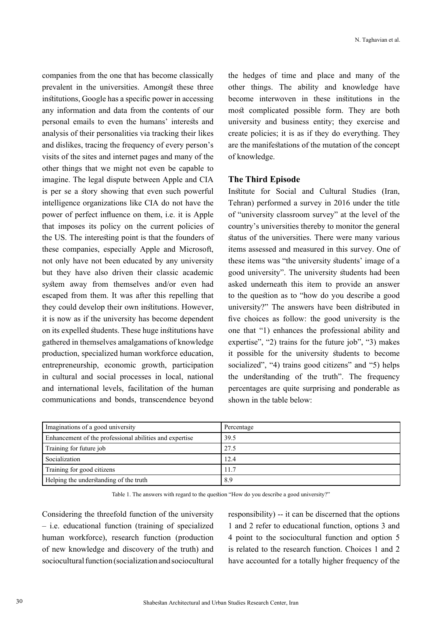companies from the one that has become classically prevalent in the universities. Amongst these three institutions, Google has a specific power in accessing any information and data from the contents of our personal emails to even the humans' interests and analysis of their personalities via tracking their likes and dislikes, tracing the frequency of every person's visits of the sites and internet pages and many of the other things that we might not even be capable to imagine. The legal dispute between Apple and CIA is per se a story showing that even such powerful intelligence organizations like CIA do not have the power of perfect influence on them, i.e. it is Apple that imposes its policy on the current policies of the US. The interesting point is that the founders of these companies, especially Apple and Microsoft, not only have not been educated by any university but they have also driven their classic academic system away from themselves and/or even had escaped from them. It was after this repelling that they could develop their own institutions. However, it is now as if the university has become dependent on its expelled students. These huge institutions have gathered in themselves amalgamations of knowledge production, specialized human workforce education, entrepreneurship, economic growth, participation in cultural and social processes in local, national and international levels, facilitation of the human communications and bonds, transcendence beyond

the hedges of time and place and many of the other things. The ability and knowledge have become interwoven in these institutions in the most complicated possible form. They are both university and business entity; they exercise and create policies; it is as if they do everything. They are the manifestations of the mutation of the concept of knowledge.

#### **The Third Episode**

Institute for Social and Cultural Studies (Iran, Tehran) performed a survey in 2016 under the title of "university classroom survey" at the level of the country's universities thereby to monitor the general status of the universities. There were many various items assessed and measured in this survey. One of these items was "the university students' image of a good university". The university students had been asked underneath this item to provide an answer to the question as to "how do you describe a good university?" The answers have been distributed in five choices as follow: the good university is the one that "1) enhances the professional ability and expertise", "2) trains for the future job", "3) makes it possible for the university students to become socialized", "4) trains good citizens" and "5) helps the understanding of the truth". The frequency percentages are quite surprising and ponderable as shown in the table below:

| Imaginations of a good university                       | Percentage |
|---------------------------------------------------------|------------|
| Enhancement of the professional abilities and expertise | 39.5       |
| Training for future job                                 | 27.5       |
| Socialization                                           | 12.4       |
| Training for good citizens                              | 11.7       |
| Helping the understanding of the truth                  | 8.9        |

Table 1. The answers with regard to the question "How do you describe a good university?"

Considering the threefold function of the university – i.e. educational function (training of specialized human workforce), research function (production of new knowledge and discovery of the truth) and sociocultural function (socialization and sociocultural responsibility) -- it can be discerned that the options 1 and 2 refer to educational function, options 3 and 4 point to the sociocultural function and option 5 is related to the research function. Choices 1 and 2 have accounted for a totally higher frequency of the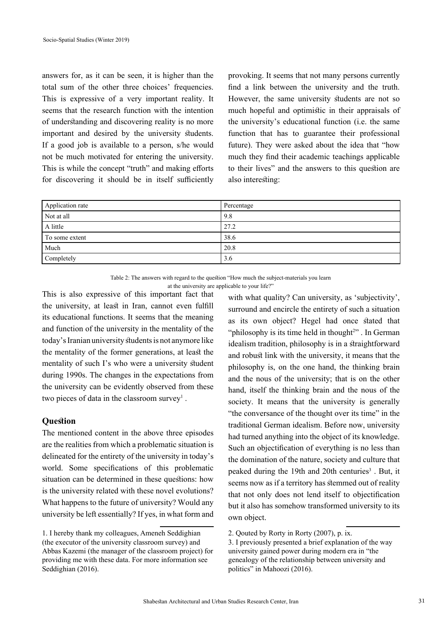answers for, as it can be seen, it is higher than the total sum of the other three choices' frequencies. This is expressive of a very important reality. It seems that the research function with the intention of understanding and discovering reality is no more important and desired by the university students. If a good job is available to a person, s/he would not be much motivated for entering the university. This is while the concept "truth" and making efforts for discovering it should be in itself sufficiently provoking. It seems that not many persons currently find a link between the university and the truth. However, the same university students are not so much hopeful and optimistic in their appraisals of the university's educational function (i.e. the same function that has to guarantee their professional future). They were asked about the idea that "how much they find their academic teachings applicable to their lives" and the answers to this question are also interesting:

| Application rate | Percentage |
|------------------|------------|
| Not at all       | 9.8        |
| A little         | 27.2       |
| To some extent   | 38.6       |
| Much             | 20.8       |
| Completely       | 3.6        |

Table 2: The answers with regard to the question "How much the subject-materials you learn at the university are applicable to your life?"

This is also expressive of this important fact that the university, at least in Iran, cannot even fulfill its educational functions. It seems that the meaning and function of the university in the mentality of the today's Iranian university students is not anymore like the mentality of the former generations, at least the mentality of such I's who were a university student during 1990s. The changes in the expectations from the university can be evidently observed from these two pieces of data in the classroom survey $^1$  .

### **Question**

The mentioned content in the above three episodes are the realities from which a problematic situation is delineated for the entirety of the university in today's world. Some specifications of this problematic situation can be determined in these questions: how is the university related with these novel evolutions? What happens to the future of university? Would any university be left essentially? If yes, in what form and with what quality? Can university, as 'subjectivity', surround and encircle the entirety of such a situation as its own object? Hegel had once stated that "philosophy is its time held in thought $2$ ". In German idealism tradition, philosophy is in a straightforward and robust link with the university, it means that the philosophy is, on the one hand, the thinking brain and the nous of the university; that is on the other hand, itself the thinking brain and the nous of the society. It means that the university is generally "the conversance of the thought over its time" in the traditional German idealism. Before now, university had turned anything into the object of its knowledge. Such an objectification of everything is no less than the domination of the nature, society and culture that peaked during the 19th and 20th centuries<sup>3</sup>. But, it seems now as if a territory has stemmed out of reality that not only does not lend itself to objectification but it also has somehow transformed university to its own object.

<sup>1.</sup> I hereby thank my colleagues, Ameneh Seddighian (the executor of the university classroom survey) and Abbas Kazemi (the manager of the classroom project) for providing me with these data. For more information see Seddighian (2016).

<sup>2.</sup> Qouted by Rorty in Rorty (2007), p. ix.

<sup>3.</sup> I previously presented a brief explanation of the way university gained power during modern era in "the genealogy of the relationship between university and politics" in Mahoozi (2016).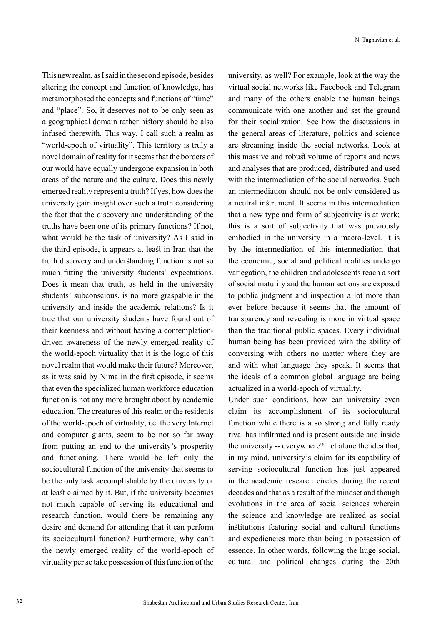This new realm, as I said in the second episode, besides altering the concept and function of knowledge, has metamorphosed the concepts and functions of "time" and "place". So, it deserves not to be only seen as a geographical domain rather history should be also infused therewith. This way, I call such a realm as "world-epoch of virtuality". This territory is truly a novel domain of reality for it seems that the borders of our world have equally undergone expansion in both areas of the nature and the culture. Does this newly emerged reality represent a truth? If yes, how does the university gain insight over such a truth considering the fact that the discovery and understanding of the truths have been one of its primary functions? If not, what would be the task of university? As I said in the third episode, it appears at least in Iran that the truth discovery and understanding function is not so much fitting the university students' expectations. Does it mean that truth, as held in the university students' subconscious, is no more graspable in the university and inside the academic relations? Is it true that our university students have found out of their keenness and without having a contemplationdriven awareness of the newly emerged reality of the world-epoch virtuality that it is the logic of this novel realm that would make their future? Moreover, as it was said by Nima in the first episode, it seems that even the specialized human workforce education function is not any more brought about by academic education. The creatures of this realm or the residents of the world-epoch of virtuality, i.e. the very Internet and computer giants, seem to be not so far away from putting an end to the university's prosperity and functioning. There would be left only the sociocultural function of the university that seems to be the only task accomplishable by the university or at least claimed by it. But, if the university becomes not much capable of serving its educational and research function, would there be remaining any desire and demand for attending that it can perform its sociocultural function? Furthermore, why can't the newly emerged reality of the world-epoch of virtuality per se take possession of this function of the

university, as well? For example, look at the way the virtual social networks like Facebook and Telegram and many of the others enable the human beings communicate with one another and set the ground for their socialization. See how the discussions in the general areas of literature, politics and science are streaming inside the social networks. Look at this massive and robust volume of reports and news and analyses that are produced, distributed and used with the intermediation of the social networks. Such an intermediation should not be only considered as a neutral instrument. It seems in this intermediation that a new type and form of subjectivity is at work; this is a sort of subjectivity that was previously embodied in the university in a macro-level. It is by the intermediation of this intermediation that the economic, social and political realities undergo variegation, the children and adolescents reach a sort of social maturity and the human actions are exposed to public judgment and inspection a lot more than ever before because it seems that the amount of transparency and revealing is more in virtual space than the traditional public spaces. Every individual human being has been provided with the ability of conversing with others no matter where they are and with what language they speak. It seems that the ideals of a common global language are being actualized in a world-epoch of virtuality.

Under such conditions, how can university even claim its accomplishment of its sociocultural function while there is a so strong and fully ready rival has infiltrated and is present outside and inside the university -- everywhere? Let alone the idea that, in my mind, university's claim for its capability of serving sociocultural function has just appeared in the academic research circles during the recent decades and that as a result of the mindset and though evolutions in the area of social sciences wherein the science and knowledge are realized as social institutions featuring social and cultural functions and expediencies more than being in possession of essence. In other words, following the huge social, cultural and political changes during the 20th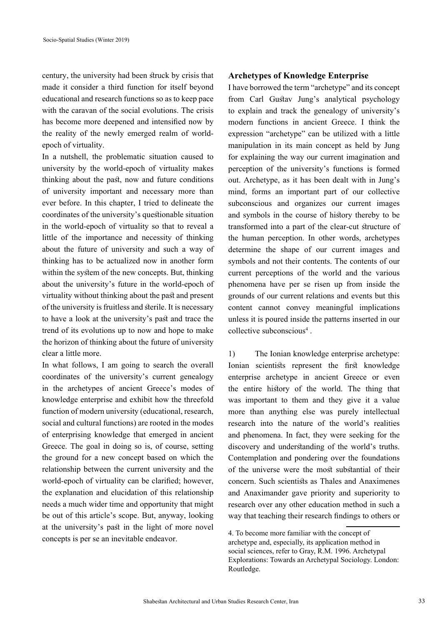century, the university had been struck by crisis that made it consider a third function for itself beyond educational and research functions so as to keep pace with the caravan of the social evolutions. The crisis has become more deepened and intensified now by the reality of the newly emerged realm of worldepoch of virtuality.

In a nutshell, the problematic situation caused to university by the world-epoch of virtuality makes thinking about the past, now and future conditions of university important and necessary more than ever before. In this chapter, I tried to delineate the coordinates of the university's questionable situation in the world-epoch of virtuality so that to reveal a little of the importance and necessity of thinking about the future of university and such a way of thinking has to be actualized now in another form within the system of the new concepts. But, thinking about the university's future in the world-epoch of virtuality without thinking about the past and present of the university is fruitless and sterile. It is necessary to have a look at the university's past and trace the trend of its evolutions up to now and hope to make the horizon of thinking about the future of university clear a little more.

In what follows, I am going to search the overall coordinates of the university's current genealogy in the archetypes of ancient Greece's modes of knowledge enterprise and exhibit how the threefold function of modern university (educational, research, social and cultural functions) are rooted in the modes of enterprising knowledge that emerged in ancient Greece. The goal in doing so is, of course, setting the ground for a new concept based on which the relationship between the current university and the world-epoch of virtuality can be clarified; however, the explanation and elucidation of this relationship needs a much wider time and opportunity that might be out of this article's scope. But, anyway, looking at the university's past in the light of more novel concepts is per se an inevitable endeavor.

## **Archetypes of Knowledge Enterprise**

I have borrowed the term "archetype" and its concept from Carl Gustav Jung's analytical psychology to explain and track the genealogy of university's modern functions in ancient Greece. I think the expression "archetype" can be utilized with a little manipulation in its main concept as held by Jung for explaining the way our current imagination and perception of the university's functions is formed out. Archetype, as it has been dealt with in Jung's mind, forms an important part of our collective subconscious and organizes our current images and symbols in the course of history thereby to be transformed into a part of the clear-cut structure of the human perception. In other words, archetypes determine the shape of our current images and symbols and not their contents. The contents of our current perceptions of the world and the various phenomena have per se risen up from inside the grounds of our current relations and events but this content cannot convey meaningful implications unless it is poured inside the patterns inserted in our collective subconscious<sup>4</sup>.

1) The Ionian knowledge enterprise archetype: Ionian scientists represent the first knowledge enterprise archetype in ancient Greece or even the entire history of the world. The thing that was important to them and they give it a value more than anything else was purely intellectual research into the nature of the world's realities and phenomena. In fact, they were seeking for the discovery and understanding of the world's truths. Contemplation and pondering over the foundations of the universe were the most substantial of their concern. Such scientists as Thales and Anaximenes and Anaximander gave priority and superiority to research over any other education method in such a way that teaching their research findings to others or

<sup>4.</sup> To become more familiar with the concept of archetype and, especially, its application method in social sciences, refer to Gray, R.M. 1996. Archetypal Explorations: Towards an Archetypal Sociology. London: Routledge.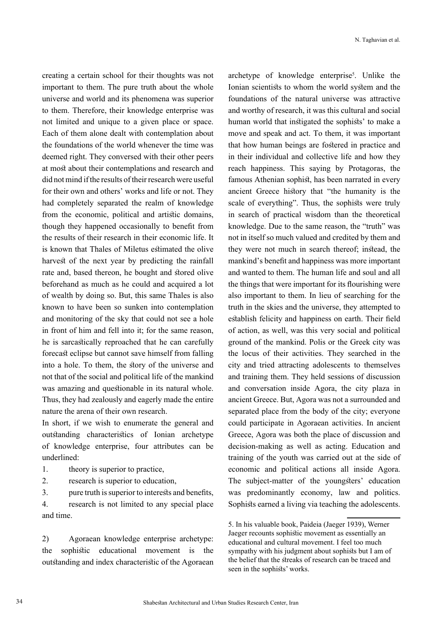creating a certain school for their thoughts was not important to them. The pure truth about the whole universe and world and its phenomena was superior to them. Therefore, their knowledge enterprise was not limited and unique to a given place or space. Each of them alone dealt with contemplation about the foundations of the world whenever the time was deemed right. They conversed with their other peers at most about their contemplations and research and did not mind if the results of their research were useful for their own and others' works and life or not. They had completely separated the realm of knowledge from the economic, political and artistic domains, though they happened occasionally to benefit from the results of their research in their economic life. It is known that Thales of Miletus estimated the olive harvest of the next year by predicting the rainfall rate and, based thereon, he bought and stored olive beforehand as much as he could and acquired a lot of wealth by doing so. But, this same Thales is also known to have been so sunken into contemplation and monitoring of the sky that could not see a hole in front of him and fell into it; for the same reason, he is sarcastically reproached that he can carefully forecast eclipse but cannot save himself from falling into a hole. To them, the story of the universe and not that of the social and political life of the mankind was amazing and questionable in its natural whole. Thus, they had zealously and eagerly made the entire nature the arena of their own research.

In short, if we wish to enumerate the general and outstanding characteristics of Ionian archetype of knowledge enterprise, four attributes can be underlined:

1. theory is superior to practice,

2. research is superior to education,

3. pure truth is superior to interests and benefits, 4. research is not limited to any special place and time.

2) Agoraean knowledge enterprise archetype: the sophistic educational movement is the outstanding and index characteristic of the Agoraean archetype of knowledge enterprise<sup>5</sup>. Unlike the Ionian scientists to whom the world system and the foundations of the natural universe was attractive and worthy of research, it was this cultural and social human world that instigated the sophists' to make a move and speak and act. To them, it was important that how human beings are fostered in practice and in their individual and collective life and how they reach happiness. This saying by Protagoras, the famous Athenian sophist, has been narrated in every ancient Greece history that "the humanity is the scale of everything". Thus, the sophists were truly in search of practical wisdom than the theoretical knowledge. Due to the same reason, the "truth" was not in itself so much valued and credited by them and they were not much in search thereof; instead, the mankind's benefit and happiness was more important and wanted to them. The human life and soul and all the things that were important for its flourishing were also important to them. In lieu of searching for the truth in the skies and the universe, they attempted to establish felicity and happiness on earth. Their field of action, as well, was this very social and political ground of the mankind. Polis or the Greek city was the locus of their activities. They searched in the city and tried attracting adolescents to themselves and training them. They held sessions of discussion and conversation inside Agora, the city plaza in ancient Greece. But, Agora was not a surrounded and separated place from the body of the city; everyone could participate in Agoraean activities. In ancient Greece, Agora was both the place of discussion and decision-making as well as acting. Education and training of the youth was carried out at the side of economic and political actions all inside Agora. The subject-matter of the youngsters' education was predominantly economy, law and politics. Sophists earned a living via teaching the adolescents.

<sup>5.</sup> In his valuable book, Paideia (Jaeger 1939), Werner Jaeger recounts sophistic movement as essentially an educational and cultural movement. I feel too much sympathy with his judgment about sophists but I am of the belief that the streaks of research can be traced and seen in the sophists' works.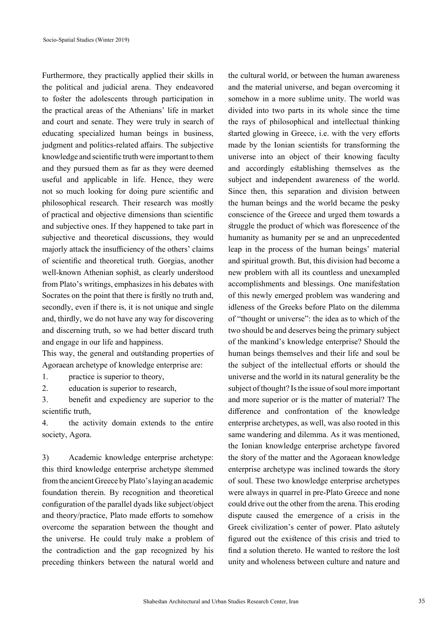Furthermore, they practically applied their skills in the political and judicial arena. They endeavored to foster the adolescents through participation in the practical areas of the Athenians' life in market and court and senate. They were truly in search of educating specialized human beings in business, judgment and politics-related affairs. The subjective knowledge and scientific truth were important to them and they pursued them as far as they were deemed useful and applicable in life. Hence, they were not so much looking for doing pure scientific and philosophical research. Their research was mostly of practical and objective dimensions than scientific and subjective ones. If they happened to take part in subjective and theoretical discussions, they would majorly attack the insufficiency of the others' claims of scientific and theoretical truth. Gorgias, another well-known Athenian sophist, as clearly understood from Plato's writings, emphasizes in his debates with Socrates on the point that there is firstly no truth and, secondly, even if there is, it is not unique and single and, thirdly, we do not have any way for discovering and discerning truth, so we had better discard truth and engage in our life and happiness.

This way, the general and outstanding properties of Agoraean archetype of knowledge enterprise are:

1. practice is superior to theory,

2. education is superior to research,

3. benefit and expediency are superior to the scientific truth,

4. the activity domain extends to the entire society, Agora.

3) Academic knowledge enterprise archetype: this third knowledge enterprise archetype stemmed from the ancient Greece by Plato's laying an academic foundation therein. By recognition and theoretical configuration of the parallel dyads like subject/object and theory/practice, Plato made efforts to somehow overcome the separation between the thought and the universe. He could truly make a problem of the contradiction and the gap recognized by his preceding thinkers between the natural world and

the cultural world, or between the human awareness and the material universe, and began overcoming it somehow in a more sublime unity. The world was divided into two parts in its whole since the time the rays of philosophical and intellectual thinking started glowing in Greece, i.e. with the very efforts made by the Ionian scientists for transforming the universe into an object of their knowing faculty and accordingly establishing themselves as the subject and independent awareness of the world. Since then, this separation and division between the human beings and the world became the pesky conscience of the Greece and urged them towards a struggle the product of which was florescence of the humanity as humanity per se and an unprecedented leap in the process of the human beings' material and spiritual growth. But, this division had become a new problem with all its countless and unexampled accomplishments and blessings. One manifestation of this newly emerged problem was wandering and idleness of the Greeks before Plato on the dilemma of "thought or universe": the idea as to which of the two should be and deserves being the primary subject of the mankind's knowledge enterprise? Should the human beings themselves and their life and soul be the subject of the intellectual efforts or should the universe and the world in its natural generality be the subject of thought? Is the issue of soul more important and more superior or is the matter of material? The difference and confrontation of the knowledge enterprise archetypes, as well, was also rooted in this same wandering and dilemma. As it was mentioned, the Ionian knowledge enterprise archetype favored the story of the matter and the Agoraean knowledge enterprise archetype was inclined towards the story of soul. These two knowledge enterprise archetypes were always in quarrel in pre-Plato Greece and none could drive out the other from the arena. This eroding dispute caused the emergence of a crisis in the Greek civilization's center of power. Plato astutely figured out the existence of this crisis and tried to find a solution thereto. He wanted to restore the lost unity and wholeness between culture and nature and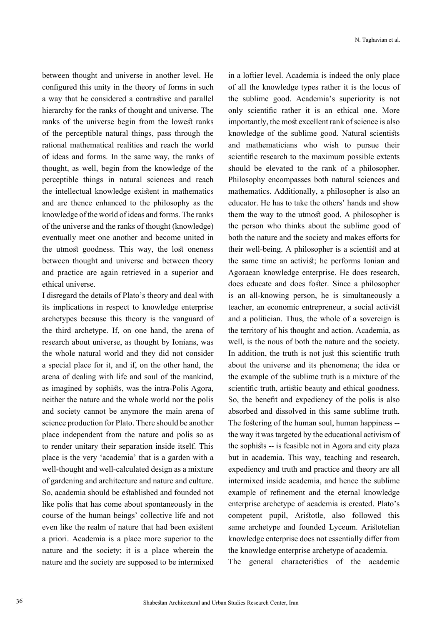between thought and universe in another level. He configured this unity in the theory of forms in such a way that he considered a contrastive and parallel hierarchy for the ranks of thought and universe. The ranks of the universe begin from the lowest ranks of the perceptible natural things, pass through the rational mathematical realities and reach the world of ideas and forms. In the same way, the ranks of thought, as well, begin from the knowledge of the perceptible things in natural sciences and reach the intellectual knowledge existent in mathematics and are thence enhanced to the philosophy as the knowledge of the world of ideas and forms. The ranks of the universe and the ranks of thought (knowledge) eventually meet one another and become united in the utmost goodness. This way, the lost oneness between thought and universe and between theory and practice are again retrieved in a superior and ethical universe.

I disregard the details of Plato's theory and deal with its implications in respect to knowledge enterprise archetypes because this theory is the vanguard of the third archetype. If, on one hand, the arena of research about universe, as thought by Ionians, was the whole natural world and they did not consider a special place for it, and if, on the other hand, the arena of dealing with life and soul of the mankind, as imagined by sophists, was the intra-Polis Agora, neither the nature and the whole world nor the polis and society cannot be anymore the main arena of science production for Plato. There should be another place independent from the nature and polis so as to render unitary their separation inside itself. This place is the very 'academia' that is a garden with a well-thought and well-calculated design as a mixture of gardening and architecture and nature and culture. So, academia should be established and founded not like polis that has come about spontaneously in the course of the human beings' collective life and not even like the realm of nature that had been existent a priori. Academia is a place more superior to the nature and the society; it is a place wherein the nature and the society are supposed to be intermixed

in a loftier level. Academia is indeed the only place of all the knowledge types rather it is the locus of the sublime good. Academia's superiority is not only scientific rather it is an ethical one. More importantly, the most excellent rank of science is also knowledge of the sublime good. Natural scientists and mathematicians who wish to pursue their scientific research to the maximum possible extents should be elevated to the rank of a philosopher. Philosophy encompasses both natural sciences and mathematics. Additionally, a philosopher is also an educator. He has to take the others' hands and show them the way to the utmost good. A philosopher is the person who thinks about the sublime good of both the nature and the society and makes efforts for their well-being. A philosopher is a scientist and at the same time an activist; he performs Ionian and Agoraean knowledge enterprise. He does research, does educate and does foster. Since a philosopher is an all-knowing person, he is simultaneously a teacher, an economic entrepreneur, a social activist and a politician. Thus, the whole of a sovereign is the territory of his thought and action. Academia, as well, is the nous of both the nature and the society. In addition, the truth is not just this scientific truth about the universe and its phenomena; the idea or the example of the sublime truth is a mixture of the scientific truth, artistic beauty and ethical goodness. So, the benefit and expediency of the polis is also absorbed and dissolved in this same sublime truth. The fostering of the human soul, human happiness - the way it was targeted by the educational activism of the sophists -- is feasible not in Agora and city plaza but in academia. This way, teaching and research, expediency and truth and practice and theory are all intermixed inside academia, and hence the sublime example of refinement and the eternal knowledge enterprise archetype of academia is created. Plato's competent pupil, Aristotle, also followed this same archetype and founded Lyceum. Aristotelian knowledge enterprise does not essentially differ from the knowledge enterprise archetype of academia.

The general characteristics of the academic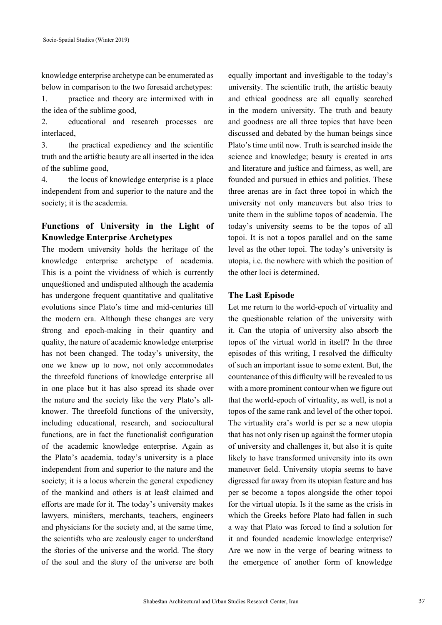knowledge enterprise archetype can be enumerated as below in comparison to the two foresaid archetypes:

1. practice and theory are intermixed with in the idea of the sublime good,

2. educational and research processes are interlaced,

3. the practical expediency and the scientific truth and the artistic beauty are all inserted in the idea of the sublime good,

4. the locus of knowledge enterprise is a place independent from and superior to the nature and the society; it is the academia.

## **Functions of University in the Light of Knowledge Enterprise Archetypes**

The modern university holds the heritage of the knowledge enterprise archetype of academia. This is a point the vividness of which is currently unquestioned and undisputed although the academia has undergone frequent quantitative and qualitative evolutions since Plato's time and mid-centuries till the modern era. Although these changes are very strong and epoch-making in their quantity and quality, the nature of academic knowledge enterprise has not been changed. The today's university, the one we knew up to now, not only accommodates the threefold functions of knowledge enterprise all in one place but it has also spread its shade over the nature and the society like the very Plato's allknower. The threefold functions of the university, including educational, research, and sociocultural functions, are in fact the functionalist configuration of the academic knowledge enterprise. Again as the Plato's academia, today's university is a place independent from and superior to the nature and the society; it is a locus wherein the general expediency of the mankind and others is at least claimed and efforts are made for it. The today's university makes lawyers, ministers, merchants, teachers, engineers and physicians for the society and, at the same time, the scientists who are zealously eager to understand the stories of the universe and the world. The story of the soul and the story of the universe are both equally important and investigable to the today's university. The scientific truth, the artistic beauty and ethical goodness are all equally searched in the modern university. The truth and beauty and goodness are all three topics that have been discussed and debated by the human beings since Plato's time until now. Truth is searched inside the science and knowledge; beauty is created in arts and literature and justice and fairness, as well, are founded and pursued in ethics and politics. These three arenas are in fact three topoi in which the university not only maneuvers but also tries to unite them in the sublime topos of academia. The today's university seems to be the topos of all topoi. It is not a topos parallel and on the same level as the other topoi. The today's university is utopia, i.e. the nowhere with which the position of the other loci is determined.

### **The Last Episode**

Let me return to the world-epoch of virtuality and the questionable relation of the university with it. Can the utopia of university also absorb the topos of the virtual world in itself? In the three episodes of this writing, I resolved the difficulty of such an important issue to some extent. But, the countenance of this difficulty will be revealed to us with a more prominent contour when we figure out that the world-epoch of virtuality, as well, is not a topos of the same rank and level of the other topoi. The virtuality era's world is per se a new utopia that has not only risen up against the former utopia of university and challenges it, but also it is quite likely to have transformed university into its own maneuver field. University utopia seems to have digressed far away from its utopian feature and has per se become a topos alongside the other topoi for the virtual utopia. Is it the same as the crisis in which the Greeks before Plato had fallen in such a way that Plato was forced to find a solution for it and founded academic knowledge enterprise? Are we now in the verge of bearing witness to the emergence of another form of knowledge